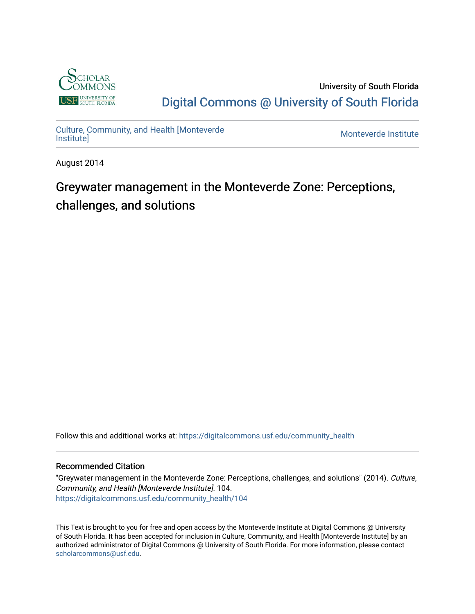

University of South Florida [Digital Commons @ University of South Florida](https://digitalcommons.usf.edu/) 

[Culture, Community, and Health \[Monteverde](https://digitalcommons.usf.edu/community_health) [Institute\]](https://digitalcommons.usf.edu/community_health) [Monteverde Institute](https://digitalcommons.usf.edu/monteverde) 

August 2014

# Greywater management in the Monteverde Zone: Perceptions, challenges, and solutions

Follow this and additional works at: [https://digitalcommons.usf.edu/community\\_health](https://digitalcommons.usf.edu/community_health?utm_source=digitalcommons.usf.edu%2Fcommunity_health%2F104&utm_medium=PDF&utm_campaign=PDFCoverPages) 

### Recommended Citation

"Greywater management in the Monteverde Zone: Perceptions, challenges, and solutions" (2014). Culture, Community, and Health [Monteverde Institute]. 104. [https://digitalcommons.usf.edu/community\\_health/104](https://digitalcommons.usf.edu/community_health/104?utm_source=digitalcommons.usf.edu%2Fcommunity_health%2F104&utm_medium=PDF&utm_campaign=PDFCoverPages)

This Text is brought to you for free and open access by the Monteverde Institute at Digital Commons @ University of South Florida. It has been accepted for inclusion in Culture, Community, and Health [Monteverde Institute] by an authorized administrator of Digital Commons @ University of South Florida. For more information, please contact [scholarcommons@usf.edu.](mailto:scholarcommons@usf.edu)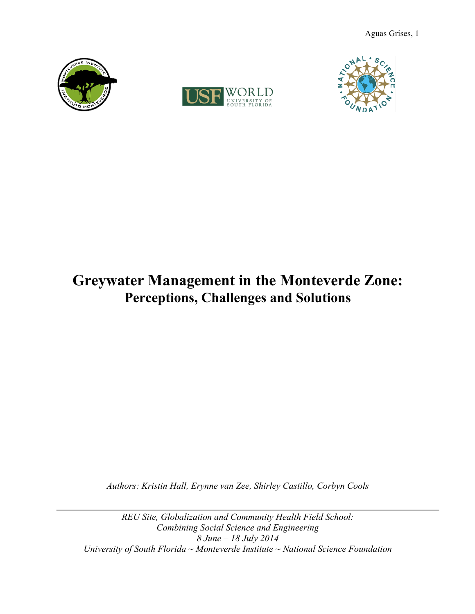





# **Greywater Management in the Monteverde Zone: Perceptions, Challenges and Solutions**

*Authors: Kristin Hall, Erynne van Zee, Shirley Castillo, Corbyn Cools*

*REU Site, Globalization and Community Health Field School: Combining Social Science and Engineering 8 June – 18 July 2014 University of South Florida ~ Monteverde Institute ~ National Science Foundation*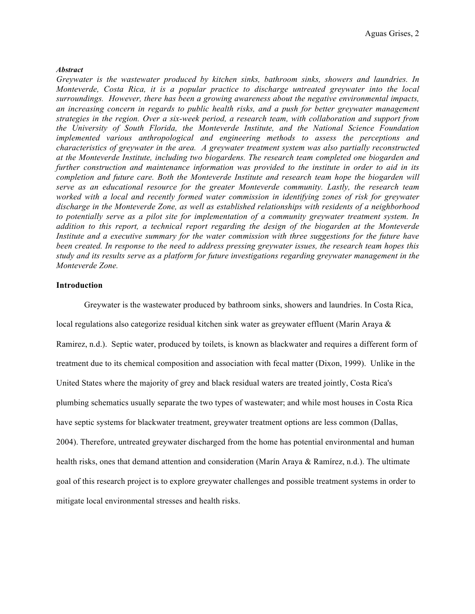#### *Abstract*

*Greywater is the wastewater produced by kitchen sinks, bathroom sinks, showers and laundries. In Monteverde, Costa Rica, it is a popular practice to discharge untreated greywater into the local surroundings. However, there has been a growing awareness about the negative environmental impacts, an increasing concern in regards to public health risks, and a push for better greywater management strategies in the region. Over a six-week period, a research team, with collaboration and support from the University of South Florida, the Monteverde Institute, and the National Science Foundation implemented various anthropological and engineering methods to assess the perceptions and characteristics of greywater in the area. A greywater treatment system was also partially reconstructed at the Monteverde Institute, including two biogardens. The research team completed one biogarden and further construction and maintenance information was provided to the institute in order to aid in its completion and future care. Both the Monteverde Institute and research team hope the biogarden will serve as an educational resource for the greater Monteverde community. Lastly, the research team worked with a local and recently formed water commission in identifying zones of risk for greywater discharge in the Monteverde Zone, as well as established relationships with residents of a neighborhood to potentially serve as a pilot site for implementation of a community greywater treatment system. In addition to this report, a technical report regarding the design of the biogarden at the Monteverde Institute and a executive summary for the water commission with three suggestions for the future have been created. In response to the need to address pressing greywater issues, the research team hopes this study and its results serve as a platform for future investigations regarding greywater management in the Monteverde Zone.* 

#### **Introduction**

 Greywater is the wastewater produced by bathroom sinks, showers and laundries. In Costa Rica, local regulations also categorize residual kitchen sink water as greywater effluent (Marin Araya & Ramirez, n.d.). Septic water, produced by toilets, is known as blackwater and requires a different form of treatment due to its chemical composition and association with fecal matter (Dixon, 1999). Unlike in the United States where the majority of grey and black residual waters are treated jointly, Costa Rica's plumbing schematics usually separate the two types of wastewater; and while most houses in Costa Rica have septic systems for blackwater treatment, greywater treatment options are less common (Dallas, 2004). Therefore, untreated greywater discharged from the home has potential environmental and human health risks, ones that demand attention and consideration (Marín Araya & Ramírez, n.d.). The ultimate goal of this research project is to explore greywater challenges and possible treatment systems in order to mitigate local environmental stresses and health risks.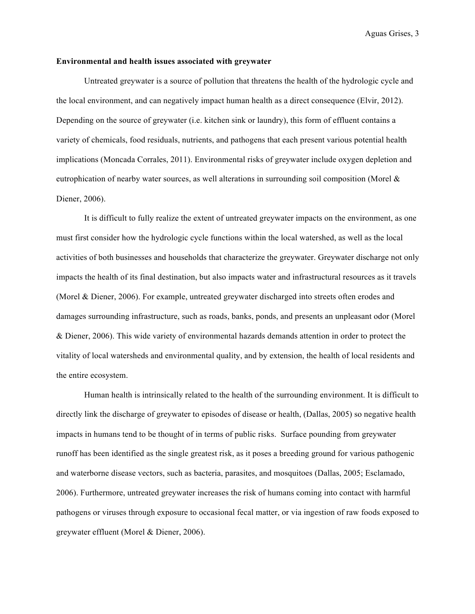#### **Environmental and health issues associated with greywater**

 Untreated greywater is a source of pollution that threatens the health of the hydrologic cycle and the local environment, and can negatively impact human health as a direct consequence (Elvir, 2012). Depending on the source of greywater (i.e. kitchen sink or laundry), this form of effluent contains a variety of chemicals, food residuals, nutrients, and pathogens that each present various potential health implications (Moncada Corrales, 2011). Environmental risks of greywater include oxygen depletion and eutrophication of nearby water sources, as well alterations in surrounding soil composition (Morel & Diener, 2006).

It is difficult to fully realize the extent of untreated greywater impacts on the environment, as one must first consider how the hydrologic cycle functions within the local watershed, as well as the local activities of both businesses and households that characterize the greywater. Greywater discharge not only impacts the health of its final destination, but also impacts water and infrastructural resources as it travels (Morel & Diener, 2006). For example, untreated greywater discharged into streets often erodes and damages surrounding infrastructure, such as roads, banks, ponds, and presents an unpleasant odor (Morel & Diener, 2006). This wide variety of environmental hazards demands attention in order to protect the vitality of local watersheds and environmental quality, and by extension, the health of local residents and the entire ecosystem.

 Human health is intrinsically related to the health of the surrounding environment. It is difficult to directly link the discharge of greywater to episodes of disease or health, (Dallas, 2005) so negative health impacts in humans tend to be thought of in terms of public risks. Surface pounding from greywater runoff has been identified as the single greatest risk, as it poses a breeding ground for various pathogenic and waterborne disease vectors, such as bacteria, parasites, and mosquitoes (Dallas, 2005; Esclamado, 2006). Furthermore, untreated greywater increases the risk of humans coming into contact with harmful pathogens or viruses through exposure to occasional fecal matter, or via ingestion of raw foods exposed to greywater effluent (Morel & Diener, 2006).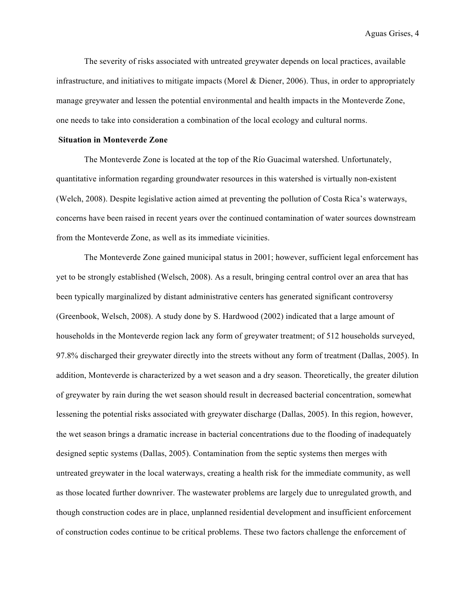The severity of risks associated with untreated greywater depends on local practices, available infrastructure, and initiatives to mitigate impacts (Morel & Diener, 2006). Thus, in order to appropriately manage greywater and lessen the potential environmental and health impacts in the Monteverde Zone, one needs to take into consideration a combination of the local ecology and cultural norms.

#### **Situation in Monteverde Zone**

The Monteverde Zone is located at the top of the Río Guacimal watershed. Unfortunately, quantitative information regarding groundwater resources in this watershed is virtually non-existent (Welch, 2008). Despite legislative action aimed at preventing the pollution of Costa Rica's waterways, concerns have been raised in recent years over the continued contamination of water sources downstream from the Monteverde Zone, as well as its immediate vicinities.

The Monteverde Zone gained municipal status in 2001; however, sufficient legal enforcement has yet to be strongly established (Welsch, 2008). As a result, bringing central control over an area that has been typically marginalized by distant administrative centers has generated significant controversy (Greenbook, Welsch, 2008). A study done by S. Hardwood (2002) indicated that a large amount of households in the Monteverde region lack any form of greywater treatment; of 512 households surveyed, 97.8% discharged their greywater directly into the streets without any form of treatment (Dallas, 2005). In addition, Monteverde is characterized by a wet season and a dry season. Theoretically, the greater dilution of greywater by rain during the wet season should result in decreased bacterial concentration, somewhat lessening the potential risks associated with greywater discharge (Dallas, 2005). In this region, however, the wet season brings a dramatic increase in bacterial concentrations due to the flooding of inadequately designed septic systems (Dallas, 2005). Contamination from the septic systems then merges with untreated greywater in the local waterways, creating a health risk for the immediate community, as well as those located further downriver. The wastewater problems are largely due to unregulated growth, and though construction codes are in place, unplanned residential development and insufficient enforcement of construction codes continue to be critical problems. These two factors challenge the enforcement of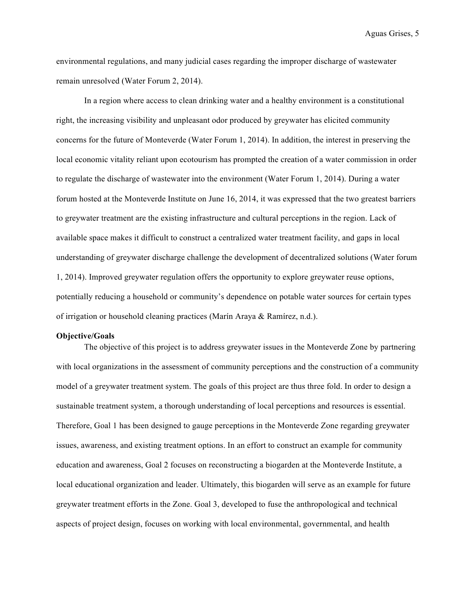environmental regulations, and many judicial cases regarding the improper discharge of wastewater remain unresolved (Water Forum 2, 2014).

In a region where access to clean drinking water and a healthy environment is a constitutional right, the increasing visibility and unpleasant odor produced by greywater has elicited community concerns for the future of Monteverde (Water Forum 1, 2014). In addition, the interest in preserving the local economic vitality reliant upon ecotourism has prompted the creation of a water commission in order to regulate the discharge of wastewater into the environment (Water Forum 1, 2014). During a water forum hosted at the Monteverde Institute on June 16, 2014, it was expressed that the two greatest barriers to greywater treatment are the existing infrastructure and cultural perceptions in the region. Lack of available space makes it difficult to construct a centralized water treatment facility, and gaps in local understanding of greywater discharge challenge the development of decentralized solutions (Water forum 1, 2014). Improved greywater regulation offers the opportunity to explore greywater reuse options, potentially reducing a household or community's dependence on potable water sources for certain types of irrigation or household cleaning practices (Marín Araya & Ramírez, n.d.).

#### **Objective/Goals**

The objective of this project is to address greywater issues in the Monteverde Zone by partnering with local organizations in the assessment of community perceptions and the construction of a community model of a greywater treatment system. The goals of this project are thus three fold. In order to design a sustainable treatment system, a thorough understanding of local perceptions and resources is essential. Therefore, Goal 1 has been designed to gauge perceptions in the Monteverde Zone regarding greywater issues, awareness, and existing treatment options. In an effort to construct an example for community education and awareness, Goal 2 focuses on reconstructing a biogarden at the Monteverde Institute, a local educational organization and leader. Ultimately, this biogarden will serve as an example for future greywater treatment efforts in the Zone. Goal 3, developed to fuse the anthropological and technical aspects of project design, focuses on working with local environmental, governmental, and health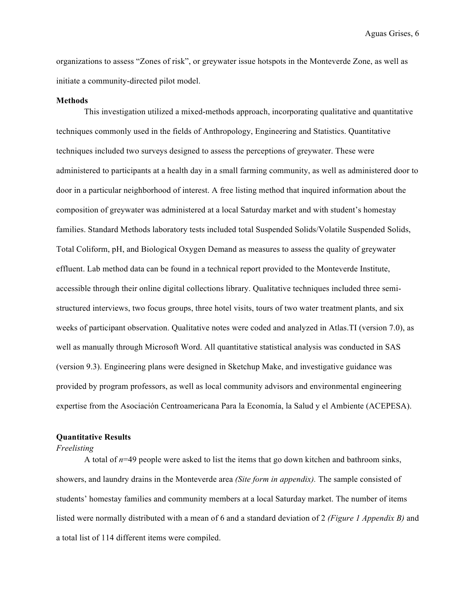organizations to assess "Zones of risk", or greywater issue hotspots in the Monteverde Zone, as well as initiate a community-directed pilot model.

#### **Methods**

This investigation utilized a mixed-methods approach, incorporating qualitative and quantitative techniques commonly used in the fields of Anthropology, Engineering and Statistics. Quantitative techniques included two surveys designed to assess the perceptions of greywater. These were administered to participants at a health day in a small farming community, as well as administered door to door in a particular neighborhood of interest. A free listing method that inquired information about the composition of greywater was administered at a local Saturday market and with student's homestay families. Standard Methods laboratory tests included total Suspended Solids/Volatile Suspended Solids, Total Coliform, pH, and Biological Oxygen Demand as measures to assess the quality of greywater effluent. Lab method data can be found in a technical report provided to the Monteverde Institute, accessible through their online digital collections library. Qualitative techniques included three semistructured interviews, two focus groups, three hotel visits, tours of two water treatment plants, and six weeks of participant observation. Qualitative notes were coded and analyzed in Atlas.TI (version 7.0), as well as manually through Microsoft Word. All quantitative statistical analysis was conducted in SAS (version 9.3). Engineering plans were designed in Sketchup Make, and investigative guidance was provided by program professors, as well as local community advisors and environmental engineering expertise from the Asociación Centroamericana Para la Economía, la Salud y el Ambiente (ACEPESA).

#### **Quantitative Results**

#### *Freelisting*

A total of *n*=49 people were asked to list the items that go down kitchen and bathroom sinks, showers, and laundry drains in the Monteverde area *(Site form in appendix).* The sample consisted of students' homestay families and community members at a local Saturday market. The number of items listed were normally distributed with a mean of 6 and a standard deviation of 2 *(Figure 1 Appendix B)* and a total list of 114 different items were compiled.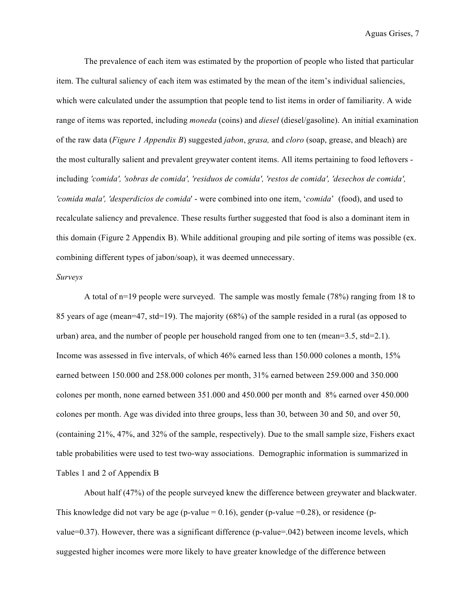The prevalence of each item was estimated by the proportion of people who listed that particular item. The cultural saliency of each item was estimated by the mean of the item's individual saliencies, which were calculated under the assumption that people tend to list items in order of familiarity. A wide range of items was reported, including *moneda* (coins) and *diesel* (diesel/gasoline). An initial examination of the raw data (*Figure 1 Appendix B*) suggested *jabon*, *grasa,* and *cloro* (soap, grease, and bleach) are the most culturally salient and prevalent greywater content items. All items pertaining to food leftovers including *'comida', 'sobras de comida', 'residuos de comida', 'restos de comida', 'desechos de comida', 'comida mala', 'desperdicios de comida*' - were combined into one item, '*comida*' (food), and used to recalculate saliency and prevalence. These results further suggested that food is also a dominant item in this domain (Figure 2 Appendix B). While additional grouping and pile sorting of items was possible (ex. combining different types of jabon/soap), it was deemed unnecessary.

#### *Surveys*

A total of n=19 people were surveyed. The sample was mostly female (78%) ranging from 18 to 85 years of age (mean=47, std=19). The majority (68%) of the sample resided in a rural (as opposed to urban) area, and the number of people per household ranged from one to ten (mean=3.5, std=2.1). Income was assessed in five intervals, of which 46% earned less than 150.000 colones a month, 15% earned between 150.000 and 258.000 colones per month, 31% earned between 259.000 and 350.000 colones per month, none earned between 351.000 and 450.000 per month and 8% earned over 450.000 colones per month. Age was divided into three groups, less than 30, between 30 and 50, and over 50, (containing 21%, 47%, and 32% of the sample, respectively). Due to the small sample size, Fishers exact table probabilities were used to test two-way associations. Demographic information is summarized in Tables 1 and 2 of Appendix B

About half (47%) of the people surveyed knew the difference between greywater and blackwater. This knowledge did not vary be age (p-value =  $0.16$ ), gender (p-value =  $0.28$ ), or residence (pvalue=0.37). However, there was a significant difference (p-value=.042) between income levels, which suggested higher incomes were more likely to have greater knowledge of the difference between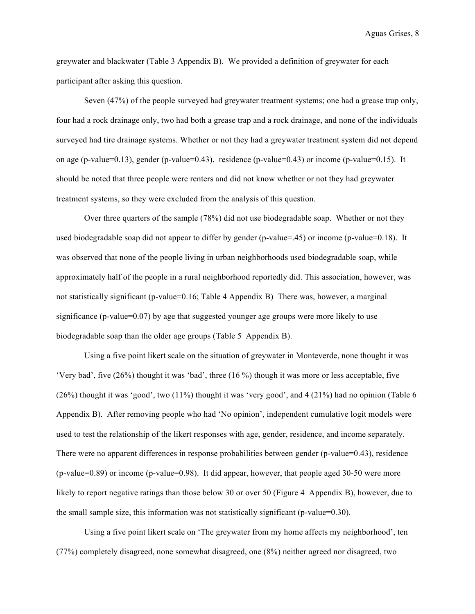greywater and blackwater (Table 3 Appendix B). We provided a definition of greywater for each participant after asking this question.

Seven (47%) of the people surveyed had greywater treatment systems; one had a grease trap only, four had a rock drainage only, two had both a grease trap and a rock drainage, and none of the individuals surveyed had tire drainage systems. Whether or not they had a greywater treatment system did not depend on age (p-value=0.13), gender (p-value=0.43), residence (p-value=0.43) or income (p-value=0.15). It should be noted that three people were renters and did not know whether or not they had greywater treatment systems, so they were excluded from the analysis of this question.

Over three quarters of the sample (78%) did not use biodegradable soap. Whether or not they used biodegradable soap did not appear to differ by gender (p-value=.45) or income (p-value=0.18). It was observed that none of the people living in urban neighborhoods used biodegradable soap, while approximately half of the people in a rural neighborhood reportedly did. This association, however, was not statistically significant (p-value=0.16; Table 4 Appendix B) There was, however, a marginal significance (p-value=0.07) by age that suggested younger age groups were more likely to use biodegradable soap than the older age groups (Table 5 Appendix B).

Using a five point likert scale on the situation of greywater in Monteverde, none thought it was 'Very bad', five (26%) thought it was 'bad', three (16 %) though it was more or less acceptable, five  $(26%)$  thought it was 'good', two  $(11%)$  thought it was 'very good', and 4  $(21%)$  had no opinion (Table 6) Appendix B). After removing people who had 'No opinion', independent cumulative logit models were used to test the relationship of the likert responses with age, gender, residence, and income separately. There were no apparent differences in response probabilities between gender (p-value=0.43), residence (p-value=0.89) or income (p-value=0.98). It did appear, however, that people aged 30-50 were more likely to report negative ratings than those below 30 or over 50 (Figure 4 Appendix B), however, due to the small sample size, this information was not statistically significant ( $p$ -value=0.30).

Using a five point likert scale on 'The greywater from my home affects my neighborhood', ten (77%) completely disagreed, none somewhat disagreed, one (8%) neither agreed nor disagreed, two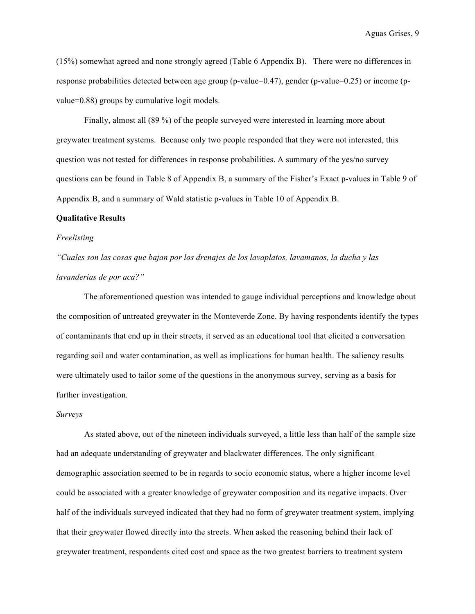(15%) somewhat agreed and none strongly agreed (Table 6 Appendix B). There were no differences in response probabilities detected between age group (p-value=0.47), gender (p-value=0.25) or income (pvalue=0.88) groups by cumulative logit models.

Finally, almost all (89 %) of the people surveyed were interested in learning more about greywater treatment systems. Because only two people responded that they were not interested, this question was not tested for differences in response probabilities. A summary of the yes/no survey questions can be found in Table 8 of Appendix B, a summary of the Fisher's Exact p-values in Table 9 of Appendix B, and a summary of Wald statistic p-values in Table 10 of Appendix B.

#### **Qualitative Results**

#### *Freelisting*

*"Cuales son las cosas que bajan por los drenajes de los lavaplatos, lavamanos, la ducha y las lavanderías de por aca?"*

The aforementioned question was intended to gauge individual perceptions and knowledge about the composition of untreated greywater in the Monteverde Zone. By having respondents identify the types of contaminants that end up in their streets, it served as an educational tool that elicited a conversation regarding soil and water contamination, as well as implications for human health. The saliency results were ultimately used to tailor some of the questions in the anonymous survey, serving as a basis for further investigation.

#### *Surveys*

As stated above, out of the nineteen individuals surveyed, a little less than half of the sample size had an adequate understanding of greywater and blackwater differences. The only significant demographic association seemed to be in regards to socio economic status, where a higher income level could be associated with a greater knowledge of greywater composition and its negative impacts. Over half of the individuals surveyed indicated that they had no form of greywater treatment system, implying that their greywater flowed directly into the streets. When asked the reasoning behind their lack of greywater treatment, respondents cited cost and space as the two greatest barriers to treatment system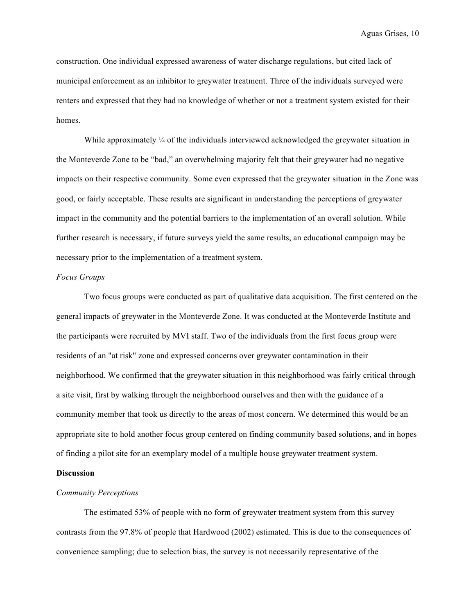construction. One individual expressed awareness of water discharge regulations, but cited lack of municipal enforcement as an inhibitor to greywater treatment. Three of the individuals surveyed were renters and expressed that they had no knowledge of whether or not a treatment system existed for their homes.

While approximately  $\frac{1}{4}$  of the individuals interviewed acknowledged the greywater situation in the Monteverde Zone to be "bad," an overwhelming majority felt that their greywater had no negative impacts on their respective community. Some even expressed that the greywater situation in the Zone was good, or fairly acceptable. These results are significant in understanding the perceptions of greywater impact in the community and the potential barriers to the implementation of an overall solution. While further research is necessary, if future surveys yield the same results, an educational campaign may be necessary prior to the implementation of a treatment system.

#### *Focus Groups*

Two focus groups were conducted as part of qualitative data acquisition. The first centered on the general impacts of greywater in the Monteverde Zone. It was conducted at the Monteverde Institute and the participants were recruited by MVI staff. Two of the individuals from the first focus group were residents of an "at risk" zone and expressed concerns over greywater contamination in their neighborhood. We confirmed that the greywater situation in this neighborhood was fairly critical through a site visit, first by walking through the neighborhood ourselves and then with the guidance of a community member that took us directly to the areas of most concern. We determined this would be an appropriate site to hold another focus group centered on finding community based solutions, and in hopes of finding a pilot site for an exemplary model of a multiple house greywater treatment system.

### **Discussion**

#### *Community Perceptions*

The estimated 53% of people with no form of greywater treatment system from this survey contrasts from the 97.8% of people that Hardwood (2002) estimated. This is due to the consequences of convenience sampling; due to selection bias, the survey is not necessarily representative of the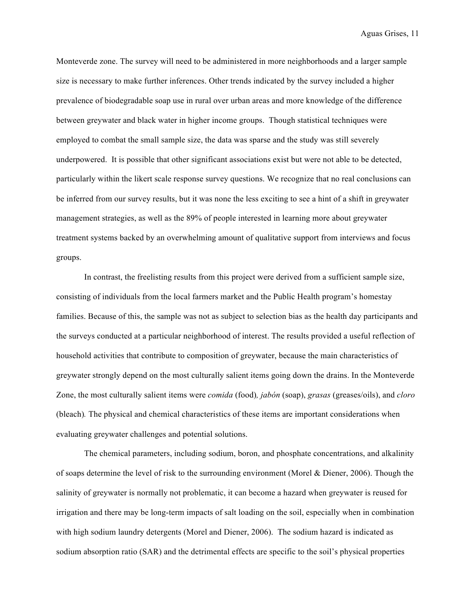Monteverde zone. The survey will need to be administered in more neighborhoods and a larger sample size is necessary to make further inferences. Other trends indicated by the survey included a higher prevalence of biodegradable soap use in rural over urban areas and more knowledge of the difference between greywater and black water in higher income groups. Though statistical techniques were employed to combat the small sample size, the data was sparse and the study was still severely underpowered. It is possible that other significant associations exist but were not able to be detected, particularly within the likert scale response survey questions. We recognize that no real conclusions can be inferred from our survey results, but it was none the less exciting to see a hint of a shift in greywater management strategies, as well as the 89% of people interested in learning more about greywater treatment systems backed by an overwhelming amount of qualitative support from interviews and focus groups.

In contrast, the freelisting results from this project were derived from a sufficient sample size, consisting of individuals from the local farmers market and the Public Health program's homestay families. Because of this, the sample was not as subject to selection bias as the health day participants and the surveys conducted at a particular neighborhood of interest. The results provided a useful reflection of household activities that contribute to composition of greywater, because the main characteristics of greywater strongly depend on the most culturally salient items going down the drains. In the Monteverde Zone, the most culturally salient items were *comida* (food)*, jabón* (soap), *grasas* (greases/oils), and *cloro*  (bleach)*.* The physical and chemical characteristics of these items are important considerations when evaluating greywater challenges and potential solutions.

The chemical parameters, including sodium, boron, and phosphate concentrations, and alkalinity of soaps determine the level of risk to the surrounding environment (Morel & Diener, 2006). Though the salinity of greywater is normally not problematic, it can become a hazard when greywater is reused for irrigation and there may be long-term impacts of salt loading on the soil, especially when in combination with high sodium laundry detergents (Morel and Diener, 2006). The sodium hazard is indicated as sodium absorption ratio (SAR) and the detrimental effects are specific to the soil's physical properties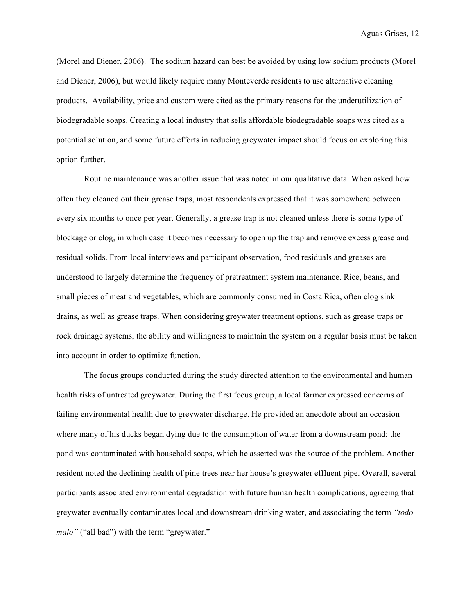(Morel and Diener, 2006). The sodium hazard can best be avoided by using low sodium products (Morel and Diener, 2006), but would likely require many Monteverde residents to use alternative cleaning products. Availability, price and custom were cited as the primary reasons for the underutilization of biodegradable soaps. Creating a local industry that sells affordable biodegradable soaps was cited as a potential solution, and some future efforts in reducing greywater impact should focus on exploring this option further.

Routine maintenance was another issue that was noted in our qualitative data. When asked how often they cleaned out their grease traps, most respondents expressed that it was somewhere between every six months to once per year. Generally, a grease trap is not cleaned unless there is some type of blockage or clog, in which case it becomes necessary to open up the trap and remove excess grease and residual solids. From local interviews and participant observation, food residuals and greases are understood to largely determine the frequency of pretreatment system maintenance. Rice, beans, and small pieces of meat and vegetables, which are commonly consumed in Costa Rica, often clog sink drains, as well as grease traps. When considering greywater treatment options, such as grease traps or rock drainage systems, the ability and willingness to maintain the system on a regular basis must be taken into account in order to optimize function.

The focus groups conducted during the study directed attention to the environmental and human health risks of untreated greywater. During the first focus group, a local farmer expressed concerns of failing environmental health due to greywater discharge. He provided an anecdote about an occasion where many of his ducks began dying due to the consumption of water from a downstream pond; the pond was contaminated with household soaps, which he asserted was the source of the problem. Another resident noted the declining health of pine trees near her house's greywater effluent pipe. Overall, several participants associated environmental degradation with future human health complications, agreeing that greywater eventually contaminates local and downstream drinking water, and associating the term *"todo malo"* ("all bad") with the term "greywater."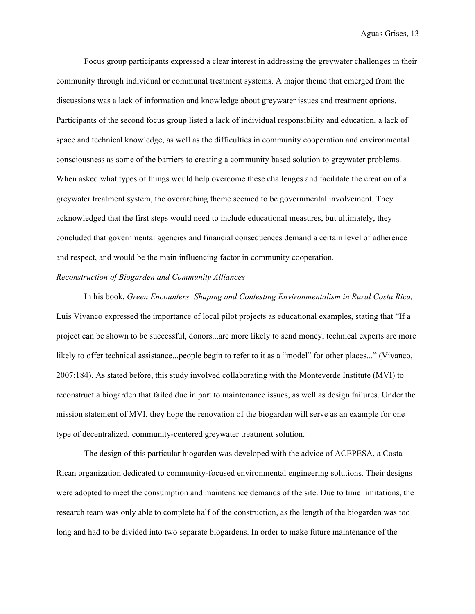Focus group participants expressed a clear interest in addressing the greywater challenges in their community through individual or communal treatment systems. A major theme that emerged from the discussions was a lack of information and knowledge about greywater issues and treatment options. Participants of the second focus group listed a lack of individual responsibility and education, a lack of space and technical knowledge, as well as the difficulties in community cooperation and environmental consciousness as some of the barriers to creating a community based solution to greywater problems. When asked what types of things would help overcome these challenges and facilitate the creation of a greywater treatment system, the overarching theme seemed to be governmental involvement. They acknowledged that the first steps would need to include educational measures, but ultimately, they concluded that governmental agencies and financial consequences demand a certain level of adherence and respect, and would be the main influencing factor in community cooperation.

#### *Reconstruction of Biogarden and Community Alliances*

In his book, *Green Encounters: Shaping and Contesting Environmentalism in Rural Costa Rica,*  Luis Vivanco expressed the importance of local pilot projects as educational examples, stating that "If a project can be shown to be successful, donors...are more likely to send money, technical experts are more likely to offer technical assistance...people begin to refer to it as a "model" for other places..." (Vivanco, 2007:184). As stated before, this study involved collaborating with the Monteverde Institute (MVI) to reconstruct a biogarden that failed due in part to maintenance issues, as well as design failures. Under the mission statement of MVI, they hope the renovation of the biogarden will serve as an example for one type of decentralized, community-centered greywater treatment solution.

The design of this particular biogarden was developed with the advice of ACEPESA, a Costa Rican organization dedicated to community-focused environmental engineering solutions. Their designs were adopted to meet the consumption and maintenance demands of the site. Due to time limitations, the research team was only able to complete half of the construction, as the length of the biogarden was too long and had to be divided into two separate biogardens. In order to make future maintenance of the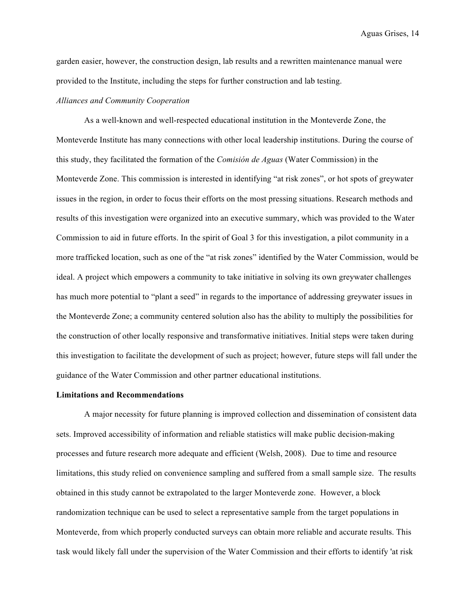garden easier, however, the construction design, lab results and a rewritten maintenance manual were provided to the Institute, including the steps for further construction and lab testing.

#### *Alliances and Community Cooperation*

As a well-known and well-respected educational institution in the Monteverde Zone, the Monteverde Institute has many connections with other local leadership institutions. During the course of this study, they facilitated the formation of the *Comisión de Aguas* (Water Commission) in the Monteverde Zone. This commission is interested in identifying "at risk zones", or hot spots of greywater issues in the region, in order to focus their efforts on the most pressing situations. Research methods and results of this investigation were organized into an executive summary, which was provided to the Water Commission to aid in future efforts. In the spirit of Goal 3 for this investigation, a pilot community in a more trafficked location, such as one of the "at risk zones" identified by the Water Commission, would be ideal. A project which empowers a community to take initiative in solving its own greywater challenges has much more potential to "plant a seed" in regards to the importance of addressing greywater issues in the Monteverde Zone; a community centered solution also has the ability to multiply the possibilities for the construction of other locally responsive and transformative initiatives. Initial steps were taken during this investigation to facilitate the development of such as project; however, future steps will fall under the guidance of the Water Commission and other partner educational institutions.

#### **Limitations and Recommendations**

A major necessity for future planning is improved collection and dissemination of consistent data sets. Improved accessibility of information and reliable statistics will make public decision-making processes and future research more adequate and efficient (Welsh, 2008). Due to time and resource limitations, this study relied on convenience sampling and suffered from a small sample size. The results obtained in this study cannot be extrapolated to the larger Monteverde zone. However, a block randomization technique can be used to select a representative sample from the target populations in Monteverde, from which properly conducted surveys can obtain more reliable and accurate results. This task would likely fall under the supervision of the Water Commission and their efforts to identify 'at risk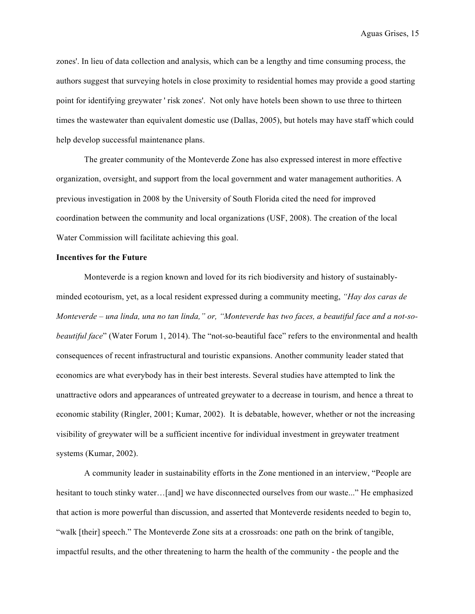zones'. In lieu of data collection and analysis, which can be a lengthy and time consuming process, the authors suggest that surveying hotels in close proximity to residential homes may provide a good starting point for identifying greywater ' risk zones'. Not only have hotels been shown to use three to thirteen times the wastewater than equivalent domestic use (Dallas, 2005), but hotels may have staff which could help develop successful maintenance plans.

The greater community of the Monteverde Zone has also expressed interest in more effective organization, oversight, and support from the local government and water management authorities. A previous investigation in 2008 by the University of South Florida cited the need for improved coordination between the community and local organizations (USF, 2008). The creation of the local Water Commission will facilitate achieving this goal.

#### **Incentives for the Future**

Monteverde is a region known and loved for its rich biodiversity and history of sustainablyminded ecotourism, yet, as a local resident expressed during a community meeting, *"Hay dos caras de Monteverde – una linda, una no tan linda," or, "Monteverde has two faces, a beautiful face and a not-sobeautiful face*" (Water Forum 1, 2014). The "not-so-beautiful face" refers to the environmental and health consequences of recent infrastructural and touristic expansions. Another community leader stated that economics are what everybody has in their best interests. Several studies have attempted to link the unattractive odors and appearances of untreated greywater to a decrease in tourism, and hence a threat to economic stability (Ringler, 2001; Kumar, 2002). It is debatable, however, whether or not the increasing visibility of greywater will be a sufficient incentive for individual investment in greywater treatment systems (Kumar, 2002).

A community leader in sustainability efforts in the Zone mentioned in an interview, "People are hesitant to touch stinky water…[and] we have disconnected ourselves from our waste..." He emphasized that action is more powerful than discussion, and asserted that Monteverde residents needed to begin to, "walk [their] speech." The Monteverde Zone sits at a crossroads: one path on the brink of tangible, impactful results, and the other threatening to harm the health of the community - the people and the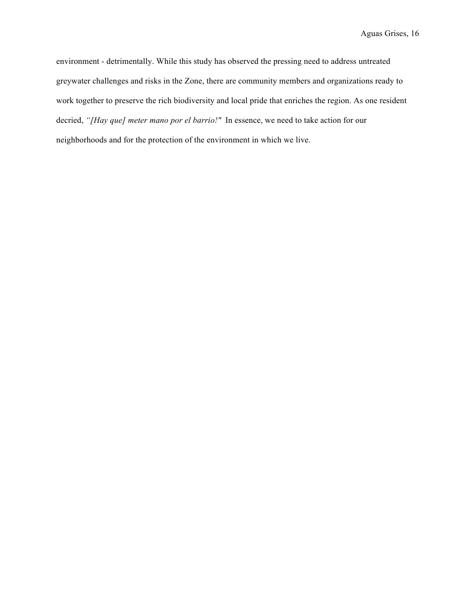environment - detrimentally. While this study has observed the pressing need to address untreated greywater challenges and risks in the Zone, there are community members and organizations ready to work together to preserve the rich biodiversity and local pride that enriches the region. As one resident decried, *"[Hay que] meter mano por el barrio!"* In essence, we need to take action for our neighborhoods and for the protection of the environment in which we live.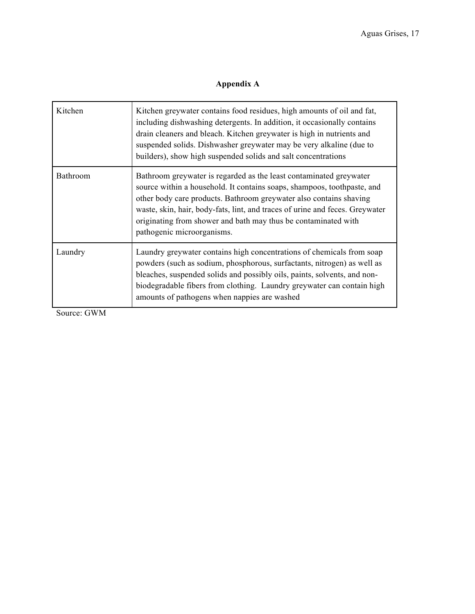# **Appendix A**

| Kitchen         | Kitchen greywater contains food residues, high amounts of oil and fat,<br>including dishwashing detergents. In addition, it occasionally contains<br>drain cleaners and bleach. Kitchen greywater is high in nutrients and<br>suspended solids. Dishwasher greywater may be very alkaline (due to<br>builders), show high suspended solids and salt concentrations                                  |
|-----------------|-----------------------------------------------------------------------------------------------------------------------------------------------------------------------------------------------------------------------------------------------------------------------------------------------------------------------------------------------------------------------------------------------------|
| <b>Bathroom</b> | Bathroom greywater is regarded as the least contaminated greywater<br>source within a household. It contains soaps, shampoos, toothpaste, and<br>other body care products. Bathroom greywater also contains shaving<br>waste, skin, hair, body-fats, lint, and traces of urine and feces. Greywater<br>originating from shower and bath may thus be contaminated with<br>pathogenic microorganisms. |
| Laundry         | Laundry greywater contains high concentrations of chemicals from soap<br>powders (such as sodium, phosphorous, surfactants, nitrogen) as well as<br>bleaches, suspended solids and possibly oils, paints, solvents, and non-<br>biodegradable fibers from clothing. Laundry greywater can contain high<br>amounts of pathogens when nappies are washed                                              |

Source: GWM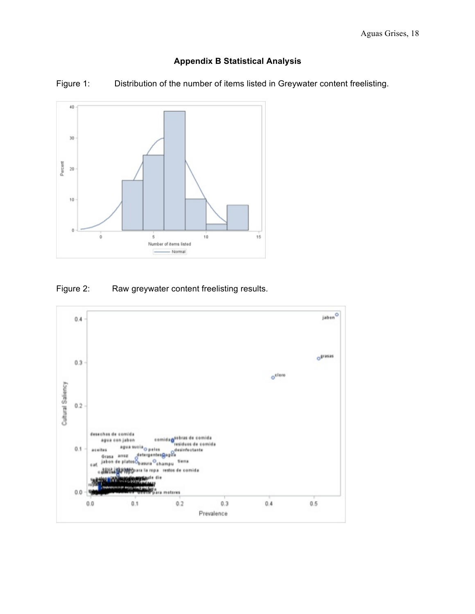# **Appendix B Statistical Analysis**



Figure 1: Distribution of the number of items listed in Greywater content freelisting.

# Figure 2: Raw greywater content freelisting results.

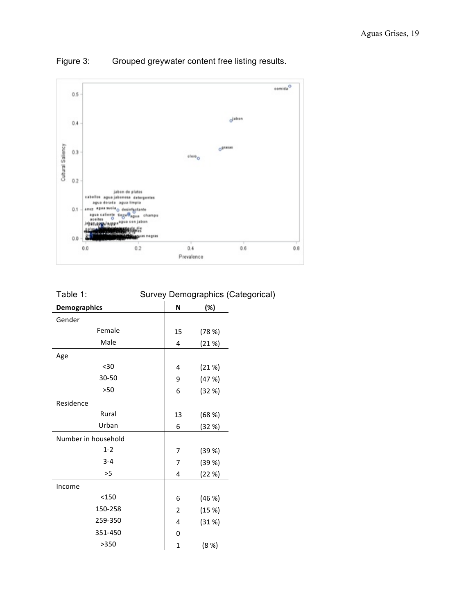

Figure 3: Grouped greywater content free listing results.

| ravic 1.            |    | <b>Jurvey Demographius (Calc</b> |
|---------------------|----|----------------------------------|
| <b>Demographics</b> | N  | (%)                              |
| Gender              |    |                                  |
| Female              | 15 | (78%)                            |
| Male                | 4  | (21%)                            |
| Age                 |    |                                  |
| $30$                | 4  | (21%)                            |
| 30-50               | 9  | (47%)                            |
| >50                 | 6  | (32 %)                           |
| Residence           |    |                                  |
| Rural               | 13 | (68%)                            |
| Urban               | 6  | (32 %)                           |
| Number in household |    |                                  |
| $1 - 2$             | 7  | (39%)                            |
| $3 - 4$             | 7  | (39%)                            |
| >5                  | 4  | (22%)                            |
| Income              |    |                                  |
| < 150               | 6  | (46%)                            |
| 150-258             | 2  | (15%)                            |
| 259-350             | 4  | (31%)                            |
| 351-450             | 0  |                                  |
| >350                | 1  | (8 %)                            |

# Table 1: Survey Demographics (Categorical)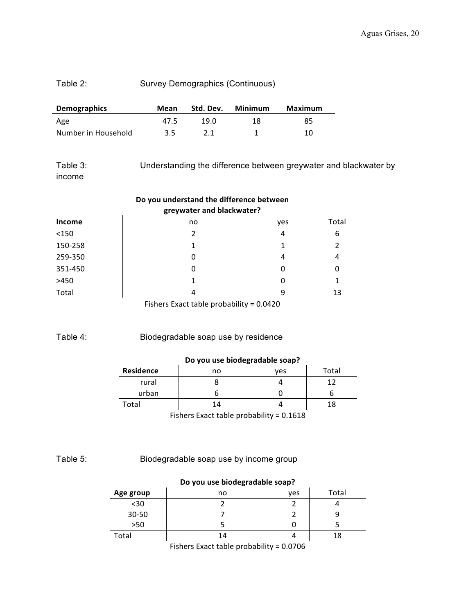# Table 2: Survey Demographics (Continuous)

| <b>Demographics</b> | Mean | Std. Dev. | Minimum | Maximum |  |
|---------------------|------|-----------|---------|---------|--|
| Age                 | 47.5 | 19.0      | 18      | 85      |  |
| Number in Household |      |           |         | 10      |  |

Table 3: Understanding the difference between greywater and blackwater by income

| Do you understand the difference between<br>greywater and blackwater? |    |     |       |
|-----------------------------------------------------------------------|----|-----|-------|
| <b>Income</b>                                                         | no | ves | Total |
| < 150                                                                 |    | 4   | 6     |
| 150-258                                                               |    |     |       |
| 259-350                                                               | 0  | 4   | 4     |
| 351-450                                                               | 0  | 0   | 0     |
| >450                                                                  |    |     |       |
| Total                                                                 | 4  | 9   | 13    |
| Fishers Exact table probability = 0.0420                              |    |     |       |

Table 4: Biodegradable soap use by residence

## **Do you use biodegradable soap?**

| <b>Residence</b>                           | no | ves | Total |  |  |
|--------------------------------------------|----|-----|-------|--|--|
| rural                                      |    |     | 12    |  |  |
| urban                                      |    |     |       |  |  |
| Total<br>18<br>14                          |    |     |       |  |  |
| Fishers Exact table probability = $0.1618$ |    |     |       |  |  |

Fishers Exact table probability  $= 0.1618$ 

## Table 5: Biodegradable soap use by income group

| Do you use biodegradable soap?           |    |     |       |  |
|------------------------------------------|----|-----|-------|--|
| Age group                                | no | ves | Total |  |
| $30$                                     |    |     |       |  |
| $30 - 50$                                |    |     |       |  |
| $>50$                                    |    |     |       |  |
| Total                                    | 14 |     | 18    |  |
| Fishers Exact table probability = 0.0706 |    |     |       |  |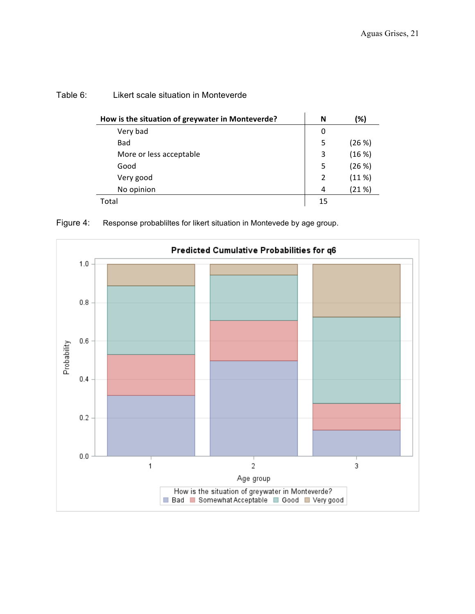| How is the situation of greywater in Monteverde? | N  | (%)   |
|--------------------------------------------------|----|-------|
| Very bad                                         | 0  |       |
| Bad                                              | 5  | (26%) |
| More or less acceptable                          | 3  | (16%) |
| Good                                             | 5  | (26%) |
| Very good                                        | 2  | (11%) |
| No opinion                                       | 4  | (21%) |
| Total                                            | 15 |       |

## Table 6: Likert scale situation in Monteverde



Figure 4: Response probabliltes for likert situation in Montevede by age group.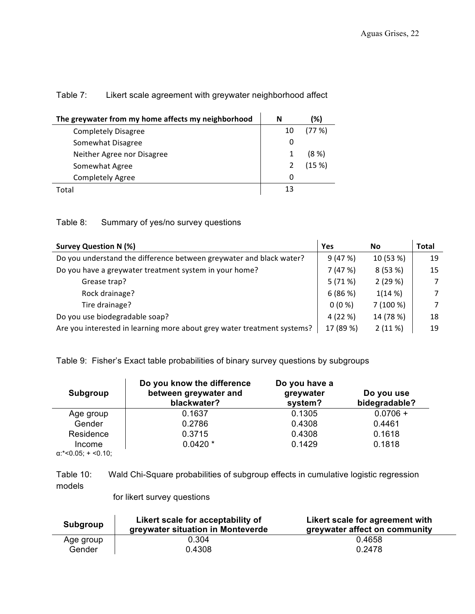# Table 7: Likert scale agreement with greywater neighborhood affect

| The greywater from my home affects my neighborhood | N  | (%)      |
|----------------------------------------------------|----|----------|
| <b>Completely Disagree</b>                         | 10 | (77%)    |
| Somewhat Disagree                                  |    |          |
| Neither Agree nor Disagree                         |    | $(8 \%)$ |
| Somewhat Agree                                     |    | (15%)    |
| <b>Completely Agree</b>                            |    |          |
| Total                                              | 13 |          |

# Table 8: Summary of yes/no survey questions

| <b>Survey Question N (%)</b>                                            | Yes       | <b>No</b> | <b>Total</b> |
|-------------------------------------------------------------------------|-----------|-----------|--------------|
| Do you understand the difference between greywater and black water?     |           | 10 (53 %) | 19           |
| Do you have a greywater treatment system in your home?                  |           | 8(53%)    | 15           |
| Grease trap?                                                            | 5(71%)    | 2(29%)    | 7            |
| Rock drainage?                                                          | 6(86%)    | 1(14%)    | 7            |
| Tire drainage?                                                          | $0(0\%)$  | 7(100%)   | 7            |
| Do you use biodegradable soap?                                          |           | 14 (78 %) | 18           |
| Are you interested in learning more about grey water treatment systems? | 17 (89 %) | 2(11%)    | 19           |

Table 9: Fisher's Exact table probabilities of binary survey questions by subgroups

| Subgroup                                                         | Do you know the difference<br>between greywater and<br>blackwater? | Do you have a<br>greywater<br>system? | Do you use<br>bidegradable? |
|------------------------------------------------------------------|--------------------------------------------------------------------|---------------------------------------|-----------------------------|
| Age group                                                        | 0.1637                                                             | 0.1305                                | $0.0706 +$                  |
| Gender                                                           | 0.2786                                                             | 0.4308                                | 0.4461                      |
| Residence                                                        | 0.3715                                                             | 0.4308                                | 0.1618                      |
| Income                                                           | $0.0420*$                                                          | 0.1429                                | 0.1818                      |
| $\sim$ * $\sim$ $\cap$ $\sim$ $\sim$ $\sim$ $\sim$ $\sim$ $\sim$ |                                                                    |                                       |                             |

α:\*<0.05; + <0.10;

Table 10: Wald Chi-Square probabilities of subgroup effects in cumulative logistic regression models

for likert survey questions

| Subgroup  | Likert scale for acceptability of<br>greywater situation in Monteverde | Likert scale for agreement with<br>greywater affect on community |
|-----------|------------------------------------------------------------------------|------------------------------------------------------------------|
| Age group | 0.304                                                                  | 0.4658                                                           |
| Gender    | 0.4308                                                                 | 0.2478                                                           |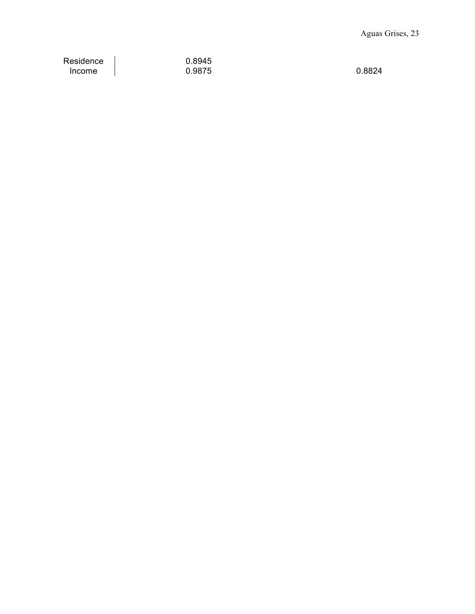Residence 0.8945

 $\begin{array}{ccc} \vert & 0.9875 & \vert & 0.8824 \end{array}$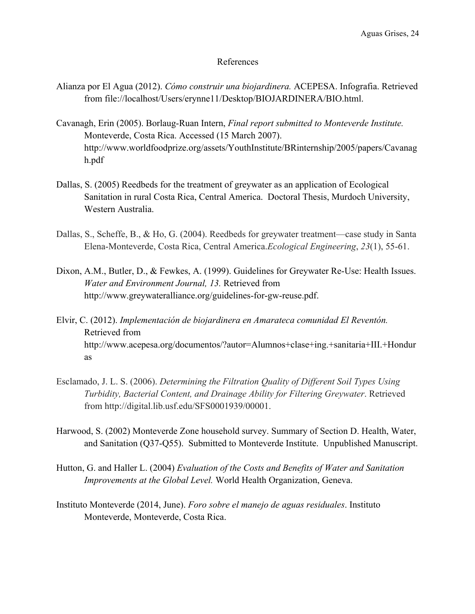## References

- Alianza por El Agua (2012). *Cómo construir una biojardinera.* ACEPESA. Infografia. Retrieved from file://localhost/Users/erynne11/Desktop/BIOJARDINERA/BIO.html.
- Cavanagh, Erin (2005). Borlaug-Ruan Intern, *Final report submitted to Monteverde Institute.* Monteverde, Costa Rica. Accessed (15 March 2007). http://www.worldfoodprize.org/assets/YouthInstitute/BRinternship/2005/papers/Cavanag h.pdf
- Dallas, S. (2005) Reedbeds for the treatment of greywater as an application of Ecological Sanitation in rural Costa Rica, Central America. Doctoral Thesis, Murdoch University, Western Australia.
- Dallas, S., Scheffe, B., & Ho, G. (2004). Reedbeds for greywater treatment—case study in Santa Elena-Monteverde, Costa Rica, Central America.*Ecological Engineering*, *23*(1), 55-61.
- Dixon, A.M., Butler, D., & Fewkes, A. (1999). Guidelines for Greywater Re-Use: Health Issues. *Water and Environment Journal, 13.* Retrieved from http://www.greywateralliance.org/guidelines-for-gw-reuse.pdf.
- Elvir, C. (2012). *Implementación de biojardinera en Amarateca comunidad El Reventón.* Retrieved from http://www.acepesa.org/documentos/?autor=Alumnos+clase+ing.+sanitaria+III.+Hondur as
- Esclamado, J. L. S. (2006). *Determining the Filtration Quality of Different Soil Types Using Turbidity, Bacterial Content, and Drainage Ability for Filtering Greywater*. Retrieved from http://digital.lib.usf.edu/SFS0001939/00001.
- Harwood, S. (2002) Monteverde Zone household survey. Summary of Section D. Health, Water, and Sanitation (Q37-Q55). Submitted to Monteverde Institute. Unpublished Manuscript.
- Hutton, G. and Haller L. (2004) *Evaluation of the Costs and Benefits of Water and Sanitation Improvements at the Global Level.* World Health Organization, Geneva.
- Instituto Monteverde (2014, June). *Foro sobre el manejo de aguas residuales*. Instituto Monteverde, Monteverde, Costa Rica.